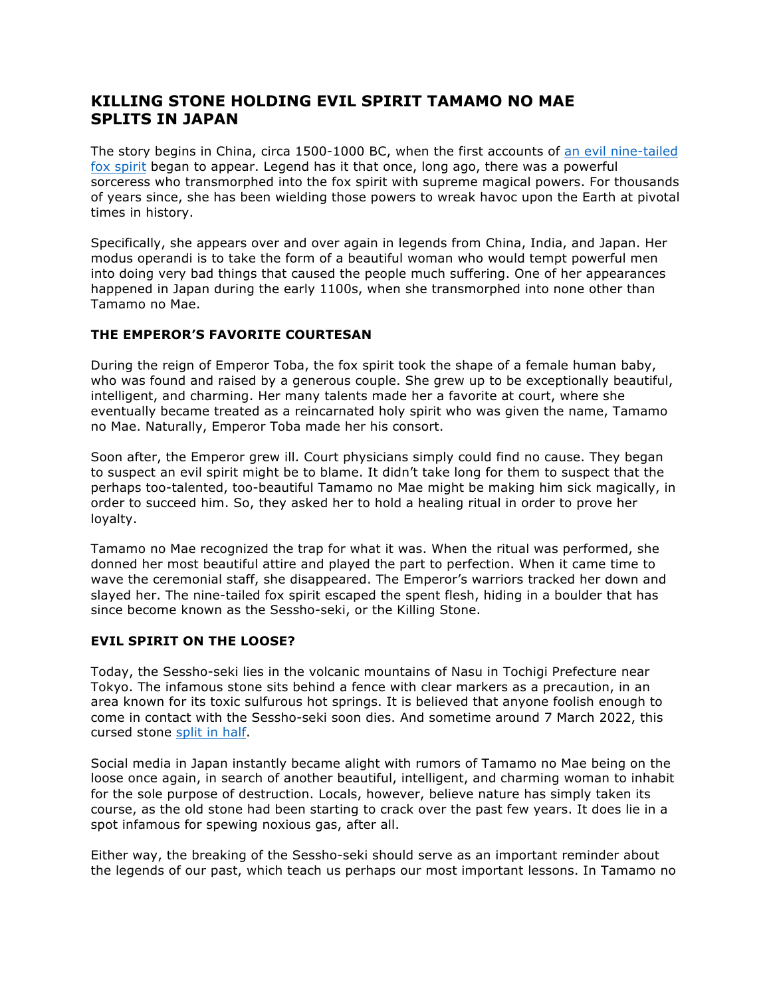## **KILLING STONE HOLDING EVIL SPIRIT TAMAMO NO MAE SPLITS IN JAPAN**

The story begins in China, circa 1500-1000 BC, when the first accounts of an evil nine-tailed fox spirit began to appear. Legend has it that once, long ago, there was a powerful sorceress who transmorphed into the fox spirit with supreme magical powers. For thousands of years since, she has been wielding those powers to wreak havoc upon the Earth at pivotal times in history.

Specifically, she appears over and over again in legends from China, India, and Japan. Her modus operandi is to take the form of a beautiful woman who would tempt powerful men into doing very bad things that caused the people much suffering. One of her appearances happened in Japan during the early 1100s, when she transmorphed into none other than Tamamo no Mae.

## **THE EMPEROR'S FAVORITE COURTESAN**

During the reign of Emperor Toba, the fox spirit took the shape of a female human baby, who was found and raised by a generous couple. She grew up to be exceptionally beautiful, intelligent, and charming. Her many talents made her a favorite at court, where she eventually became treated as a reincarnated holy spirit who was given the name, Tamamo no Mae. Naturally, Emperor Toba made her his consort.

Soon after, the Emperor grew ill. Court physicians simply could find no cause. They began to suspect an evil spirit might be to blame. It didn't take long for them to suspect that the perhaps too-talented, too-beautiful Tamamo no Mae might be making him sick magically, in order to succeed him. So, they asked her to hold a healing ritual in order to prove her loyalty.

Tamamo no Mae recognized the trap for what it was. When the ritual was performed, she donned her most beautiful attire and played the part to perfection. When it came time to wave the ceremonial staff, she disappeared. The Emperor's warriors tracked her down and slayed her. The nine-tailed fox spirit escaped the spent flesh, hiding in a boulder that has since become known as the Sessho-seki, or the Killing Stone.

## **EVIL SPIRIT ON THE LOOSE?**

Today, the Sessho-seki lies in the volcanic mountains of Nasu in Tochigi Prefecture near Tokyo. The infamous stone sits behind a fence with clear markers as a precaution, in an area known for its toxic sulfurous hot springs. It is believed that anyone foolish enough to come in contact with the Sessho-seki soon dies. And sometime around 7 March 2022, this cursed stone split in half.

Social media in Japan instantly became alight with rumors of Tamamo no Mae being on the loose once again, in search of another beautiful, intelligent, and charming woman to inhabit for the sole purpose of destruction. Locals, however, believe nature has simply taken its course, as the old stone had been starting to crack over the past few years. It does lie in a spot infamous for spewing noxious gas, after all.

Either way, the breaking of the Sessho-seki should serve as an important reminder about the legends of our past, which teach us perhaps our most important lessons. In Tamamo no